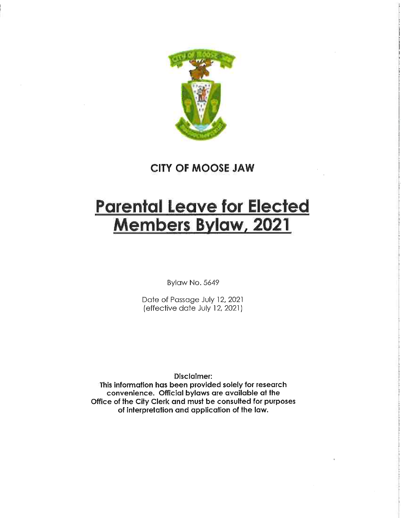

CITY OF MOOSE JAW

# Parental Leave for Elected Members Bylaw, 2021

Bylaw No. 5649

Date of Passage July 12, 2021 (effective date July 12, 2021)

Disclaimer:

This information has been provided solely for research convenience. Official bylaws are available at the Office of the City Clerk and must be consulted for purposes of interpretation and application of the law.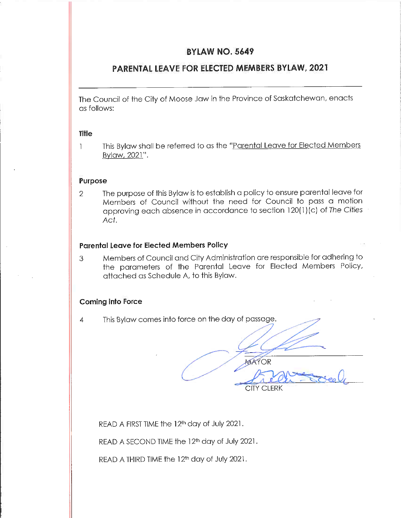#### BYLAW NO. 5649

# PARENTAL LEAVE FOR ELECTED MEMBERS BYLAW, 2021

The Council of the City of Moose Jaw in the Province of Saskatchewan, enacts as follows:

#### Title

This Bylaw shall be referred to as the "Parental Leave for Elected Members  $\mathbf{1}$ Bylaw, 2021".

#### Purpose

2 The purpose of this Bylaw is to establish a policy to ensure parental leave for Members of Council without the need for Council to pass a motion approving each absence in accordance to section 120(1)(c) of The Cities Act.

#### Parental Leave for Elected Members Policy

3 Members of Council and City Administration are responsible for adhering to the parameters of the Parental Leave for Elected Members Policy, attached as Schedule A, to this Bylaw.

#### Coming info Force

4 This Bylaw comes into force on the day of passage.

MAYOR CITY CLERK

READ A FIRST TIME the 12<sup>th</sup> day of July 2021.

READ A SECOND TIME the 12fh day of July 2021.

READ A THIRD TIME the 12<sup>th</sup> day of July 2021.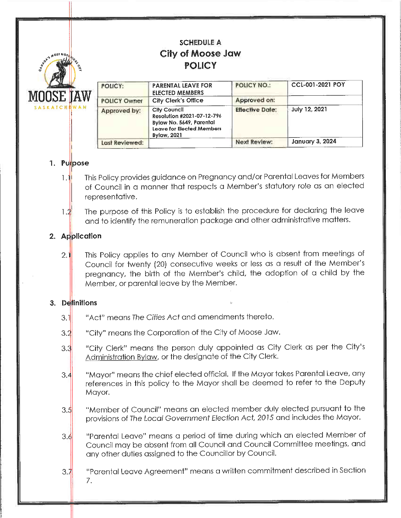# SCHEDULE A City of Moose Jaw POLICY



^0" NO/.

| POLICY:             | <b>PARENTAL LEAVE FOR</b><br><b>ELECTED MEMBERS</b>                                                                       | <b>POLICY NO.:</b>     | CCL-001-2021 POY       |  |
|---------------------|---------------------------------------------------------------------------------------------------------------------------|------------------------|------------------------|--|
| <b>POLICY Owner</b> | <b>City Clerk's Office</b>                                                                                                | Approved on:           |                        |  |
| Approved by:        | City Council<br>Resolution #2021-07-12-796<br>Bylaw No. 5649, Parental<br>Leave for Elected Members<br><b>Bylaw, 2021</b> | <b>Effective Date:</b> | July 12, 2021          |  |
| Last Reviewed:      |                                                                                                                           | <b>Next Review:</b>    | <b>January 3, 2024</b> |  |

#### 1. Pu pose

- This Policy provides guidance on Pregnancy and/or Parental Leaves for Members  $1.1$ of Council in a manner that respects a Member's statutory role as an elected representative.
- The purpose of this Policy is to establish the procedure for declaring the leave  $1.2$ and to identify the remuneration package and other administrative matters.

# 2. Application

2. This Policy applies to any Member of Council who is absent from meetings of Council for twenty (20) consecutive weeks or less as a result of the Member's pregnancy, the birth of the Member's child, the adoption of a child by the Member, or parental leave by the Member.

# 3. Definitions

- 3.1 "Act" means The Cities Act and amendments thereto.
- $3.2$ "City" means the Corporation of the City of Moose Jaw.
- 3.3 "City Clerk" means the person duly appointed as City Clerk as per the City's Administration Bylaw, or the designate of the City Clerk.
- 3.4 "Mayor" means the chief elected official. If the Mayor takes Parental Leave, any references in this policy to the Mayor shall be deemed to refer to the Deputy Mayor.
- $3.5$ "Member of Councii" means an elected member duly elected pursuant to the provisions of The Locaf Government Election Act, 2015 and includes the Mayor.
- 3.4 "Parental Leave" means a period of time during which an elected Member of Council may be absent from all Council and Council Committee meetings, and any other duties assigned to the Councillor by Council.
- $3.7$ "Parental Leave Agreement" means a written commitment described in Section 7.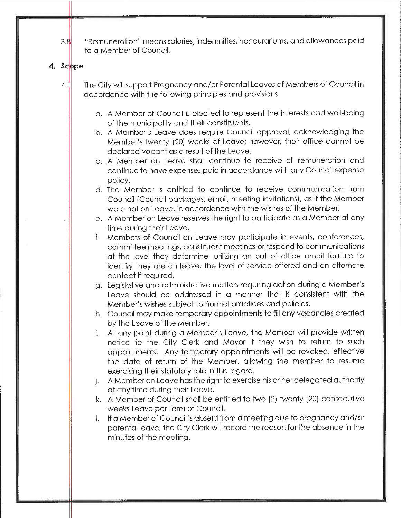3.8 "Remuneration" means salaries, indemnities, honourariums, and allowances paid to a Member of Council.

#### 4. Scope

- 4.1 The City will support Pregnancy and/or Parental Leaves of Members of Council in accordance with the following principles and provisions:
	- a. A Member of Council is elected to represent the interests and well-being of the municipality and their constituents.
	- b. A Member's Leave does require Council approval, acknowledging the Member's twenty (20) weeks of Leave; however, their office cannot be declared vacant os a resuit of the Leave.
	- c. A Member on Leave shall continue to receive all remuneration and continue to have expenses paid in accordance with any Council expense policy.
	- d. The Member is entitled to continue to receive communication from Council (Council packages, email, meeting invitations), as if the Member were not on Leave, in accordance with the wishes of the Member.
	- e. A Member on Leave reserves the right to participate as a Member of any time during their Leave.
	- f. Members of Council on Leave may participate in events, conferences, committee meetings, constituent meetings or respond to communications at the level they determine, utilizing an out of office email feature to identify they are on leave, the level of service offered and an alternate contact if required.
	- g. Legislative and administrative matters requiring action during a Member's Leave should be addressed in a manner that is consistent with the Member's wishes subject to hormol practices and policies.
	- h. Council may make temporary appointments to fill any vacancies created by the Leave of the Member.
	- i. At any point during a Member's Leave, the Member will provide written notice to the City Clerk and Mayor if they wish to return to such appointments. Any temporary appointments will be revoked, effective the date of return of the Member, allowing the member to resume exercising their statutory role in this regard.
	- j. A Member on Leave has the right to exercise his or her delegated authority at any time during their Leave.
	- k. A Member of Council shall be entitled to two (2) twenty (20) consecutive weeks Leave per Term of Council.
	- I. If a Member of Council is absent from a meeting due to pregnancy and/or parental leave, the City Clerk will record the reason for the absence in the minutes of the meeting.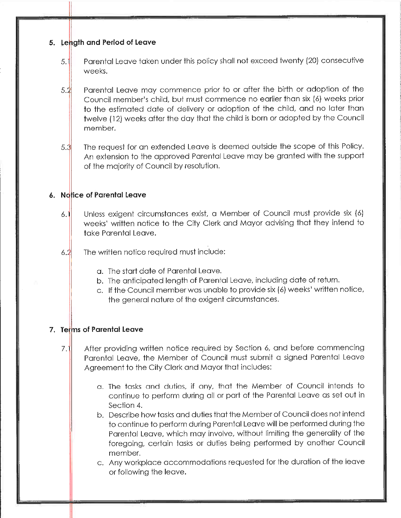#### 5. Length and Period of Leave

- 5.1 Parental Leave taken under this policy shall not exceed twenty (20) consecutive weeks.
- $5.2$ Parental Leave may commence prior to or after the birth or adoption of the Council member's child, but must commence no earlier than six (6) weeks prior to the estimated date of delivery or adoption of the child, and no later than twelve (12) weeks after the day that the child is born or adopted by the Council member.
- 5.3 The request for an extended Leave is deemed outside the scope of this Policy. An extension to the approved Parental Leave may be granted with the support of the majority of Council by resolution.

#### 6. Nd ice of Parental Leave

- $6.1$ Unless exigent circumstances exist, a Member of Council must provide six (6) weeks' written notice to the City Clerk and Mayor advising that they intend to take Parental Leave.
- $6.2$ The written notice required must include:
	- a. The start date of Parental Leave.
	- b. The anticipated length of Parental Leave, including date of return.
	- c. If the Council member was unable to provide six (6) weeks' written notice, the general nature of the exigent circumstances.

# 7. Terms of Parental Leave

- $7.1$ After providing written notice required by Section 6, and before commencing Parental Leave, the Member of Council must submit a signed Parental Leave Agreement to the City Clerk and Mayor that includes:
	- a. The tasks and duties, if any, that the Member of Council intends to continue to perform during all or part of the Parental Leave as set out in Section 4.
	- b. Describe how tasks and duties that the Member of Council does not intend to continue to perform during Parental Leave will be performed during the Parental Leave, which may involve, without limiting the generality of the foregoing, certain tasks or duties being performed by another Council member.
	- c. Any workplace accommodations requested for the durotion of the leave or following the leave.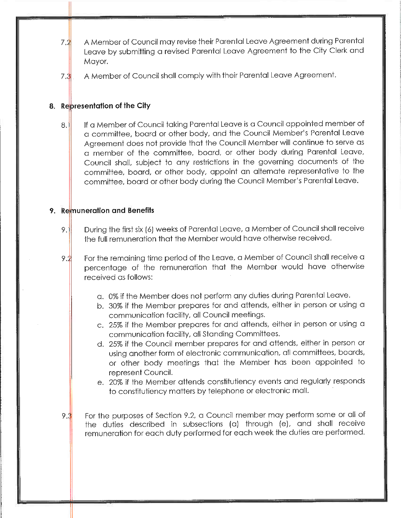- 7.1 A Member of Council may revise their Parental Leave Agreement during Parental Leave by submitting a revised Parental Leave Agreement to the City Clerk and Mayor.
- 7. A Member of Council shall comply with their Parental Leave Agreement.

#### 8. Representation of the City

If a Member of Council taking Parental Leave is a Council appointed member of 8.1 a committee, board or other body, and the Council Member's Parental Leave Agreement does not provide that the Council Member will continue to serve as a member of the committee, board, or other body during Parental Leave, Council shall, subject to any restrictions in the governing documents of the committee, board, or other body, appoint an alternate representative to the committee, board or other body during the Council Member's Parental Leave.

#### 9. Remuneration and Benefits

- 9. During the first six (6) weeks of Parental Leave, a Member of Council shall receive the full remuneration that the Member would have otherwise received.
- $9.2$ For the remaining time period of the Leave, a Member of Council shall receive a percentage of the remuneration that the Member would have otherwise received as follows:
	- a. 0% if the Member does not perform any duties during Parental Leave.
	- b. 30% if the Member prepares for and attends, either in person or using a communication facility, all Council meetings.
	- c. 25% if the Member prepares for and attends, either in person or using a communication facility, all Standing Committees.
	- d. 25% if the Council member prepares for and attends, either in person or using another form of electronic communication, all committees, boards, or other body meetings that the Member has been appointed to represent Council.
	- e. 20% if the Member attends constitutiency events and regularly responds to constitutiency matters by telephone or electronic mail.
- $9.3$ For the purposes of Section 9.2, a Council member may perform some or all of the duties described in subsections (a) through (e), and shall receive remuneration for each duty performed for each week the duties are performed.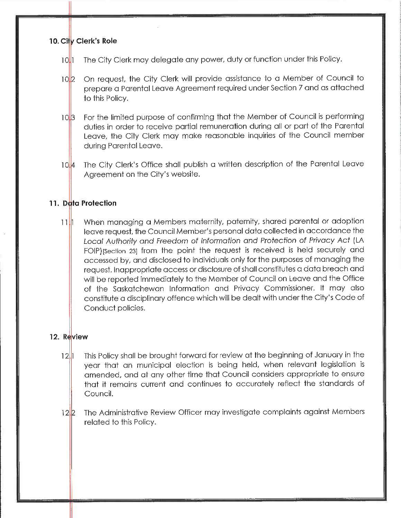# 10. City Clerk's Role

- $10$ | $1$ The City Clerk may delegate any power, duty or function under this Policy.
- $10^{12}$ On request, the City Clerk will provide assistance to a Member of Council to prepare a Parental Leave Agreement required under Section 7 and as attached to this Policy.
- $10\sqrt{3}$ For the limited purpose of confirming that the Member of Council is performing duties in order to receive partial remuneration during all or part of the Parental Leave, the City Clerk may make reasonable inquiries of the Council member during Parental Leave.
- $10.4$ The City Clerk's Office shall publish a written description of the Parental Leave Agreement on the City's website.

#### 11. Data Protection

When managing a Members maternity, paternity, shared parental or adoption 1 T UT leave request, the Council Member's personal data collected in accordance the Local Authority and Freedom of Information and Protection of Privacy Act (LA FOIP) [Section 23] from the point the request is received is held securely and accessed by, and disclosed to individuals only for the purposes of managing the request. Inappropriate access or disclosure of shall constitutes a data breach and will be reported immediately to the Member of Council on Leave and the Office of the Saskatchewan Information and Privacy Commissioner. It may also constitute a disciplinary offence which will be dealt with under the City's Code of Conduct poiicies.

# 12. Review

- $12$ || This Policy shall be brought forward for review at the beginning of January in the year that an municipal election is being held, when relevant iegislation is amended, and at any other time that Council considers appropriate to ensure that it remains current and continues to accurately reflect the standards of Council.
- 12 p The Administrative Review Officer may investigate complaints against Members related to this Policy.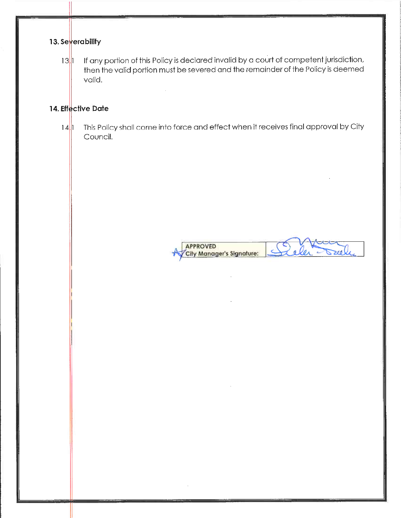# | 3. Se<mark>y</mark>erability

 $13$ || If any portion of this Policy is declared invalid by a court of competent jurisdiction, then the valid portion must be severed and the remainder of the Policy is deemed valid.

 $\sim 10^7$ 

# 14. Effective Date

 $14$ | This Policy shall come into force and effect when it receives final approval by City Council.

APPROVED Sull  $\subset$ **City Manager's Signature:**  $\theta$ ler

 $\overline{\phantom{a}}$ 

 $\cdot$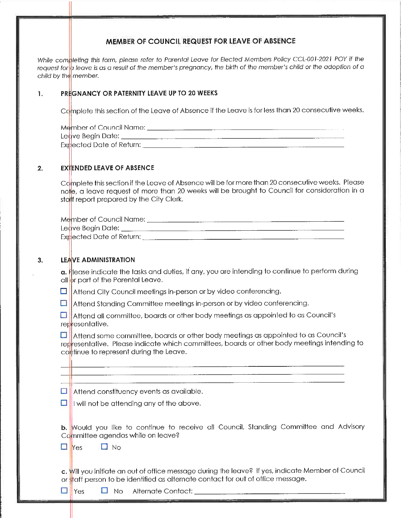#### MEMBER OF COUNCIL REQUEST FOR LEAVE OF ABSENCE

While completing this form, please refer to Parental Leave for Elected Members Policy CCL-001-2021 POY if the request for a leave is as a result of the member's pregnancy, the birth of the member's child or the adoption of a child by the member.

#### 1. PREGNANCY OR PATERNITY LEAVE UP TO 20 WEEKS

Complete this section of the Leave of Absence if the Leave is for less than 20 consecutive weeks.

M^hnber of Council Name: Ledve Begin Date: <u> 1980 - Jan Barat, amerikan bahasa perang berakhir pendada perang perang perang perang perang perang perang pe</u> Explected Date of Return:

#### $2.$ EXTENDED LEAVE OF ABSENCE

Complete this section if the Leave of Absence will be for more than 20 consecutive weeks. Please notle, a leave request ot more than 20 weeks will be brought to Council for consideration in a sta<mark>t</mark>t report prepared by the City Clerk.

| Member of Council Name: _ |
|---------------------------|
| Leave Begin Date:         |
| Expected Date of Return:  |

#### $3.$ LEAVE ADMINISTRATION

**a. H**lease indicate the tasks and duties, it any, you are intending to continue to perform during all <mark>i</mark>pr part of the Parental Leave

 $\Box$  Attend City Council meetings in-person or by video conferencing

D Attend Standing Committee meetings in-person or by video conferencing.

D representative. Attend all committee, boards or other body meetings as appointed to as Council's

a| representative. Please indicate which committees, boards or other boay meetings intending to commue to represent during the Leave Attend some committee, boards or other body meetings as appointed to as Council's

Attend constituency events as available.  $\Box$ 

 $\Box$  I will not be attending any of the above

b. Would you like to continue to receive all Council, Standing Committee and Advisory Committee agendas while on leave?

 $\Box$  Yes  $\Box$  No

**c.** Will you initiate an out of office message during the leave? If yes, indicate Member of Counc or <mark>s</mark>tatt person to be identified as alternate contact for out of office message

 $\Box$  Yes  $\Box$  No Alternate Contact: